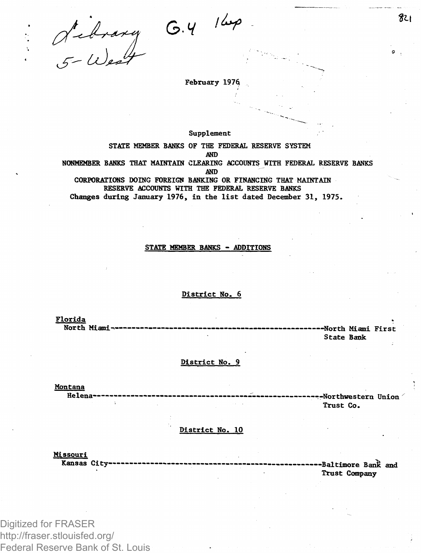**February 197\$**

 $G.4$ <sup>164</sup>

**Supplement** 

**STATE MEMBER BANKS OF THE FEDERAL RESERVE SYSTEM AND NGNMEMBER BANKS THAT MAINTAIN CLEARING ACCOUNTS WITH FEDERAL RESERVE BANKS AND CORPORATIONS DOING FOREIGN BANKING OR FINANCING THAT MAINTAIN**

**RESERVE ACCOUNTS WITH THE FEDERAL RESERVE BANKS Changes during January 1976, in the list dated December 31, 1975.**

#### **STATE MEMRER BANKS - ADDITIONS**

#### **District No. 6**

**Florida North Miami •North Miami First**

**State Bank**

### **District No. 9**

**Montana** 

**Helena- -Northwestern Union Trust Co.**

**District No. 10**

**Missouri Kansas City -Baltimore Bank and Trust Company**

Digitized for FRASER http://fraser.stlouisfed.org/ Federal Reserve Bank of St. Louis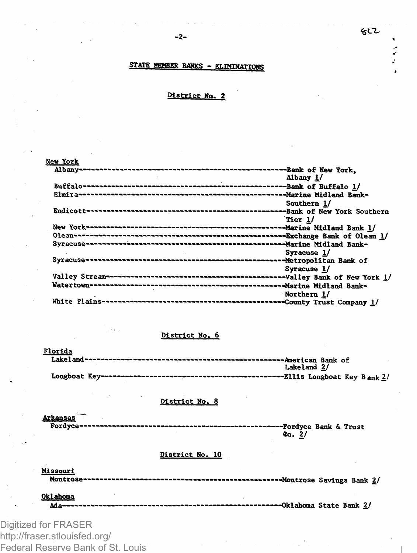$\ddot{\cdot}$ 

# **STATS MEMBER BANKS - RT.TMTKTATTfwg**

# **District No. 2**

## **New York**

| Albany 1/   |
|-------------|
|             |
|             |
| Southern 1/ |
|             |
| Tier 1/     |
|             |
|             |
|             |
| Syracuse 1/ |
|             |
| Syracuse 1/ |
|             |
|             |
| Northern 1/ |
|             |

## **District No. 6**

| Florida     |  |  |
|-------------|--|--|
|             |  |  |
| Lakeland 2/ |  |  |
|             |  |  |

# **District No. 8**

Arkansas<sup>"</sup><br>Fordyce-----**Fordyce — — —-—— — Fordyce Bank & Trust So. 2/**

### **District No. 10**

**Missouri Montrose——————————————Montros e Savings Bank 2/**

**Oklahoma Ada——————————————————Oklahom a State Bank 2/**

Digitized for FRASER http://fraser.stlouisfed.org/ Federal Reserve Bank of St. Louis